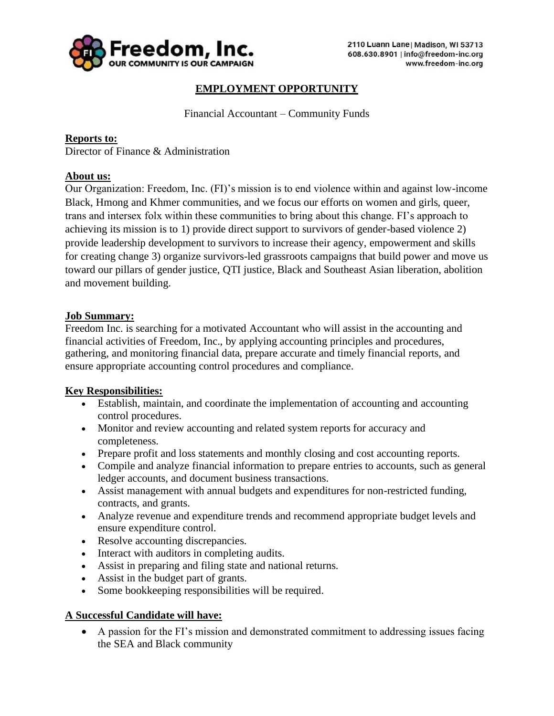

# **EMPLOYMENT OPPORTUNITY**

Financial Accountant – Community Funds

## **Reports to:**

Director of Finance & Administration

## **About us:**

Our Organization: Freedom, Inc. (FI)'s mission is to end violence within and against low-income Black, Hmong and Khmer communities, and we focus our efforts on women and girls, queer, trans and intersex folx within these communities to bring about this change. FI's approach to achieving its mission is to 1) provide direct support to survivors of gender-based violence 2) provide leadership development to survivors to increase their agency, empowerment and skills for creating change 3) organize survivors-led grassroots campaigns that build power and move us toward our pillars of gender justice, QTI justice, Black and Southeast Asian liberation, abolition and movement building.

#### **Job Summary:**

Freedom Inc. is searching for a motivated Accountant who will assist in the accounting and financial activities of Freedom, Inc., by applying accounting principles and procedures, gathering, and monitoring financial data, prepare accurate and timely financial reports, and ensure appropriate accounting control procedures and compliance.

#### **Key Responsibilities:**

- Establish, maintain, and coordinate the implementation of accounting and accounting control procedures.
- Monitor and review accounting and related system reports for accuracy and completeness.
- Prepare profit and loss statements and monthly closing and cost accounting reports.
- Compile and analyze financial information to prepare entries to accounts, such as general ledger accounts, and document business transactions.
- Assist management with annual budgets and expenditures for non-restricted funding, contracts, and grants.
- Analyze revenue and expenditure trends and recommend appropriate budget levels and ensure expenditure control.
- Resolve accounting discrepancies.
- Interact with auditors in completing audits.
- Assist in preparing and filing state and national returns.
- Assist in the budget part of grants.
- Some bookkeeping responsibilities will be required.

# **A Successful Candidate will have:**

• A passion for the FI's mission and demonstrated commitment to addressing issues facing the SEA and Black community